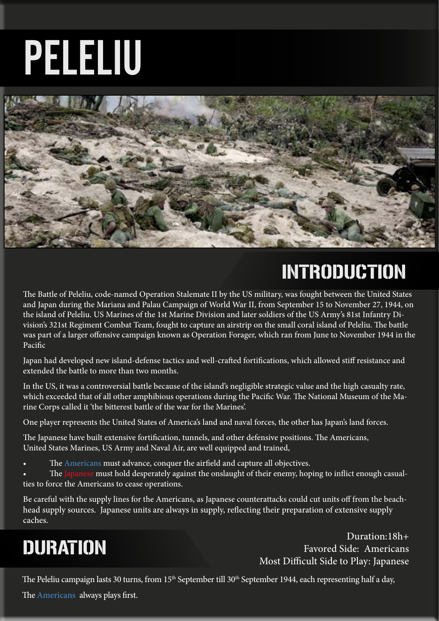# PELELIU



# INTRODUCTION

The Battle of Peleliu, code-named Operation Stalemate II by the US military, was fought between the United States and Japan during the Mariana and Palau Campaign of World War II, from September 15 to November 27, 1944, on the island of Peleliu. US Marines of the 1st Marine Division and later soldiers of the US Army's 81st Infantry Division's 321st Regiment Combat Team, fought to capture an airstrip on the small coral island of Peleliu. The battle was part of a larger offensive campaign known as Operation Forager, which ran from June to November 1944 in the Pacific

Japan had developed new island-defense tactics and well-crafted fortifications, which allowed stiff resistance and extended the battle to more than two months.

In the US, it was a controversial battle because of the island's negligible strategic value and the high casualty rate, which exceeded that of all other amphibious operations during the Pacific War. The National Museum of the Marine Corps called it 'the bitterest battle of the war for the Marines'.

One player represents the United States of America's land and naval forces, the other has Japan's land forces.

The Japanese have built extensive fortification, tunnels, and other defensive positions. The Americans, United States Marines, US Army and Naval Air, are well equipped and trained,

The Americans must advance, conquer the airfield and capture all objectives.

The Japanese must hold desperately against the onslaught of their enemy, hoping to inflict enough casualties to force the Americans to cease operations.

Be careful with the supply lines for the Americans, as Japanese counterattacks could cut units off from the beachhead supply sources. Japanese units are always in supply, reflecting their preparation of extensive supply caches.

# DURATION

Duration:18h+ Favored Side: Americans Most Difficult Side to Play: Japanese

The Peleliu campaign lasts 30 turns, from 15<sup>th</sup> September till 30<sup>th</sup> September 1944, each representing half a day,

The Americans always plays first.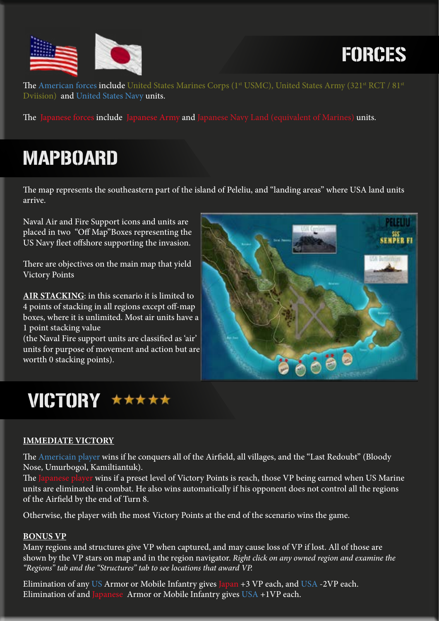

# FORCES

The American forces include United States Marines Corps (1<sup>st</sup> USMC), United States Army (321<sup>st</sup> RCT / 81<sup>st</sup> Dviision) and United States Navy units.

The Japanese forces include Japanese Army and Japanese Navy Land (equivalent of Marines) units.

## MAPBOARD

The map represents the southeastern part of the island of Peleliu, and "landing areas" where USA land units arrive.

Naval Air and Fire Support icons and units are placed in two "Off Map"Boxes representing the US Navy fleet offshore supporting the invasion.

There are objectives on the main map that yield Victory Points

**AIR STACKING**: in this scenario it is limited to 4 points of stacking in all regions except off-map boxes, where it is unlimited. Most air units have a 1 point stacking value

(the Naval Fire support units are classified as 'air' units for purpose of movement and action but are wortth 0 stacking points).



### VICTORY \*\*\*\*\*

#### **IMMEDIATE VICTORY**

The Americain player wins if he conquers all of the Airfield, all villages, and the "Last Redoubt" (Bloody Nose, Umurbogol, Kamiltiantuk).

The Japanese player wins if a preset level of Victory Points is reach, those VP being earned when US Marine units are eliminated in combat. He also wins automatically if his opponent does not control all the regions of the Airfield by the end of Turn 8.

Otherwise, the player with the most Victory Points at the end of the scenario wins the game.

#### **BONUS VP**

Many regions and structures give VP when captured, and may cause loss of VP if lost. All of those are shown by the VP stars on map and in the region navigator. *Right click on any owned region and examine the "Regions" tab and the "Structures" tab to see locations that award VP.*

Elimination of any US Armor or Mobile Infantry gives Japan +3 VP each, and USA -2VP each. Elimination of and Japanese Armor or Mobile Infantry gives  $USA + IVP$  each.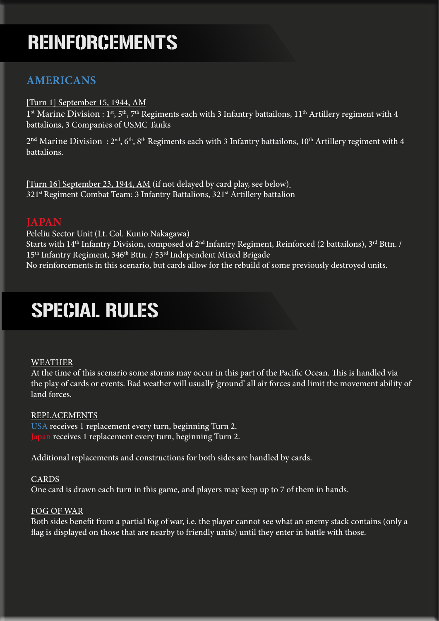## REINFORCEMENTS

#### **AMERICANS**

#### [Turn 1] September 15, 1944, AM

 $1<sup>st</sup>$  Marine Division :  $1<sup>st</sup>$ ,  $5<sup>th</sup>$ ,  $7<sup>th</sup>$  Regiments each with 3 Infantry battailons,  $11<sup>th</sup>$  Artillery regiment with 4 battalions, 3 Companies of USMC Tanks

2<sup>nd</sup> Marine Division: 2<sup>nd</sup>, 6<sup>th</sup>, 8<sup>th</sup> Regiments each with 3 Infantry battailons, 10<sup>th</sup> Artillery regiment with 4 battalions.

[Turn 16] September 23, 1944, AM (if not delayed by card play, see below) 321<sup>st</sup> Regiment Combat Team: 3 Infantry Battalions, 321<sup>st</sup> Artillery battalion

#### **JAPAN**

Peleliu Sector Unit (Lt. Col. Kunio Nakagawa) Starts with 14<sup>th</sup> Infantry Division, composed of 2<sup>nd</sup> Infantry Regiment, Reinforced (2 battailons), 3<sup>rd</sup> Bttn. / 15<sup>th</sup> Infantry Regiment, 346<sup>th</sup> Bttn. / 53<sup>rd</sup> Independent Mixed Brigade No reinforcements in this scenario, but cards allow for the rebuild of some previously destroyed units.

### SPECIAL RULES

#### WEATHER

At the time of this scenario some storms may occur in this part of the Pacific Ocean. This is handled via the play of cards or events. Bad weather will usually 'ground' all air forces and limit the movement ability of land forces.

#### REPLACEMENTS

USA receives 1 replacement every turn, beginning Turn 2. Japan receives 1 replacement every turn, beginning Turn 2.

Additional replacements and constructions for both sides are handled by cards.

#### CARDS

One card is drawn each turn in this game, and players may keep up to 7 of them in hands.

#### FOG OF WAR

Both sides benefit from a partial fog of war, i.e. the player cannot see what an enemy stack contains (only a flag is displayed on those that are nearby to friendly units) until they enter in battle with those.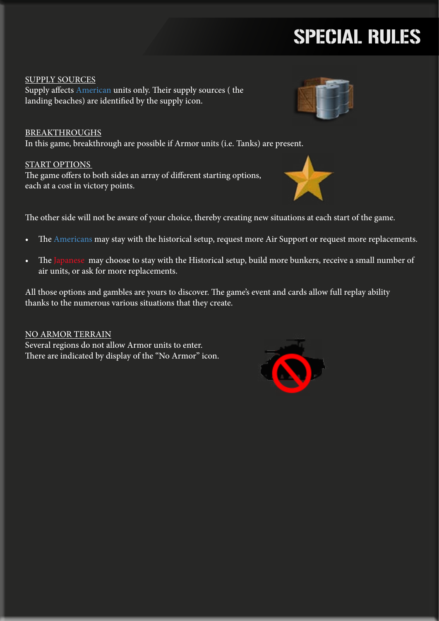# SPECIAL RULES

SUPPLY SOURCES Supply affects American units only. Their supply sources ( the landing beaches) are identified by the supply icon.

BREAKTHROUGHS In this game, breakthrough are possible if Armor units (i.e. Tanks) are present.

#### START OPTIONS

The game offers to both sides an array of different starting options, each at a cost in victory points.

The other side will not be aware of your choice, thereby creating new situations at each start of the game.

- The Americans may stay with the historical setup, request more Air Support or request more replacements.
- The Japanese may choose to stay with the Historical setup, build more bunkers, receive a small number of air units, or ask for more replacements.

All those options and gambles are yours to discover. The game's event and cards allow full replay ability thanks to the numerous various situations that they create.

NO ARMOR TERRAIN Several regions do not allow Armor units to enter. There are indicated by display of the "No Armor" icon.